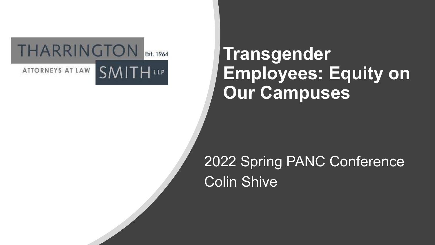

## **Transgender Employees: Equity on Our Campuses**

### 2022 Spring PANC Conference Colin Shive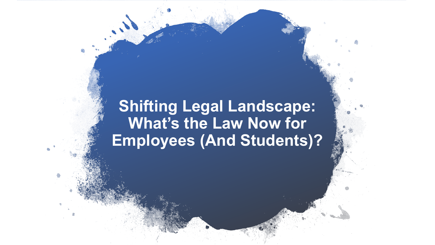### **Shifting Legal Landscape: What's the Law Now for Employees (And Students)?**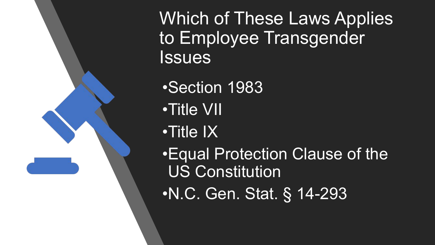Which of These Laws Applies to Employee Transgender **Issues** 

•Section 1983

•Title VII

•Title IX

•Equal Protection Clause of the US Constitution

•N.C. Gen. Stat. § 14-293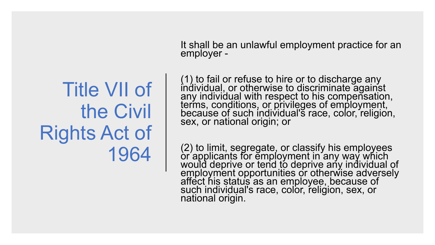It shall be an unlawful employment practice for an employer -

#### (1) to fail or refuse to hire or to discharge any individual, or otherwise to discriminate against any individual with respect to his compensation, terms, conditions, or privileges of employment, because of such individual's race, color, religion, sex, or national origin; or

(2) to limit, segregate, or classify his employees or applicants for employment in any way which would deprive or tend to deprive any individual of employment opportunities or otherwise adversely affect his status as an employee, because of such individual's race, color, religion, sex, or national origin.

# Title VII of the Civil Rights Act of 1964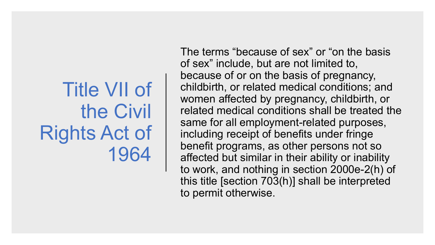# Title VII of the Civil Rights Act of 1964

The terms "because of sex" or "on the basis of sex" include, but are not limited to, because of or on the basis of pregnancy, childbirth, or related medical conditions; and women affected by pregnancy, childbirth, or related medical conditions shall be treated the same for all employment-related purposes, including receipt of benefits under fringe benefit programs, as other persons not so affected but similar in their ability or inability to work, and nothing in section 2000e-2(h) of this title [section 703(h)] shall be interpreted to permit otherwise.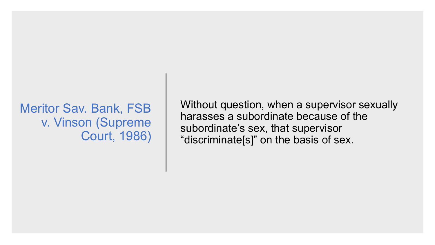### Meritor Sav. Bank, FSB v. Vinson (Supreme Court, 1986)

Without question, when a supervisor sexually harasses a subordinate because of the subordinate's sex, that supervisor "discriminate[s]" on the basis of sex.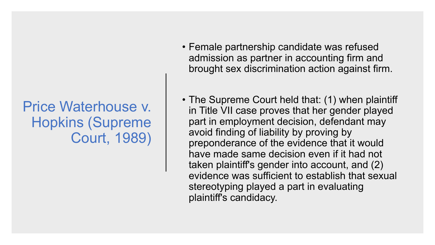### Price Waterhouse v. Hopkins (Supreme Court, 1989)

- Female partnership candidate was refused admission as partner in accounting firm and brought sex discrimination action against firm.
- The Supreme Court held that: (1) when plaintiff in Title VII case proves that her gender played part in employment decision, defendant may avoid finding of liability by proving by preponderance of the evidence that it would have made same decision even if it had not taken plaintiff's gender into account, and (2) evidence was sufficient to establish that sexual stereotyping played a part in evaluating plaintiff's candidacy.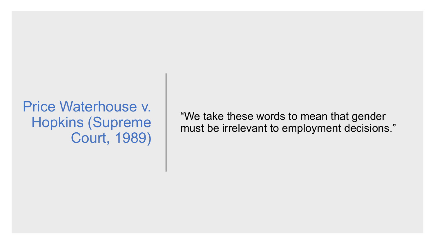### Price Waterhouse v. Hopkins (Supreme Court, 1989)

"We take these words to mean that gender must be irrelevant to employment decisions."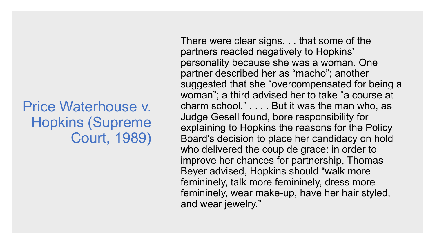### Price Waterhouse v. Hopkins (Supreme Court, 1989)

There were clear signs. . . that some of the partners reacted negatively to Hopkins' personality because she was a woman. One partner described her as "macho"; another suggested that she "overcompensated for being a woman"; a third advised her to take "a course at charm school." . . . . But it was the man who, as Judge Gesell found, bore responsibility for explaining to Hopkins the reasons for the Policy Board's decision to place her candidacy on hold who delivered the coup de grace: in order to improve her chances for partnership, Thomas Beyer advised, Hopkins should "walk more femininely, talk more femininely, dress more femininely, wear make-up, have her hair styled, and wear jewelry."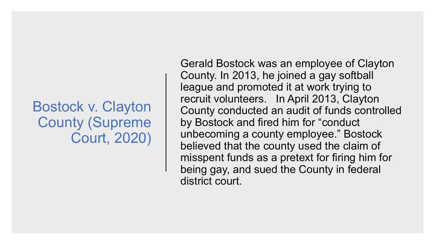### Bostock v. Clayton County (Supreme Court, 2020)

Gerald Bostock was an employee of Clayton County. In 2013, he joined a gay softball league and promoted it at work trying to recruit volunteers. In April 2013, Clayton County conducted an audit of funds controlled by Bostock and fired him for "conduct unbecoming a county employee." Bostock believed that the county used the claim of misspent funds as a pretext for firing him for being gay, and sued the County in federal district court.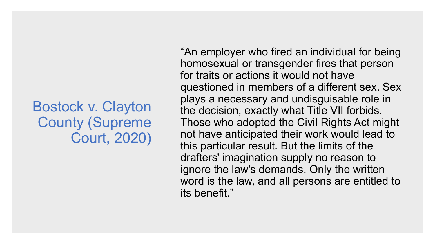### Bostock v. Clayton County (Supreme Court, 2020)

"An employer who fired an individual for being homosexual or transgender fires that person for traits or actions it would not have questioned in members of a different sex. Sex plays a necessary and undisguisable role in the decision, exactly what Title VII forbids. Those who adopted the Civil Rights Act might not have anticipated their work would lead to this particular result. But the limits of the drafters' imagination supply no reason to ignore the law's demands. Only the written word is the law, and all persons are entitled to its benefit."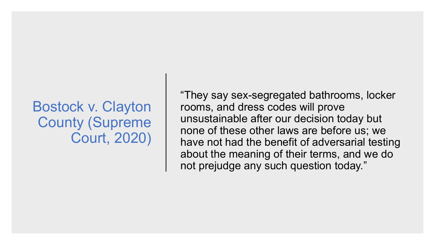### Bostock v. Clayton County (Supreme Court, 2020)

"They say sex-segregated bathrooms, locker rooms, and dress codes will prove unsustainable after our decision today but none of these other laws are before us; we have not had the benefit of adversarial testing about the meaning of their terms, and we do not prejudge any such question today."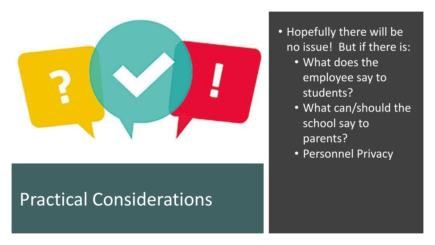

# Practical Considerations

• Hopefully there will be no issue! But if there is:

- What does the employee say to students?
- What can/should the school say to parents?
- Personnel Privacy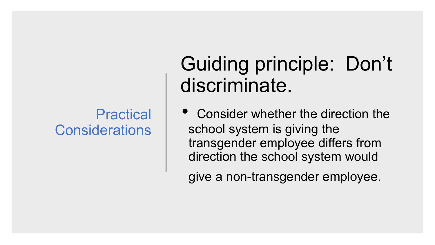### **Practical Considerations**

# Guiding principle: Don't discriminate.

• Consider whether the direction the school system is giving the transgender employee differs from direction the school system would

give a non-transgender employee.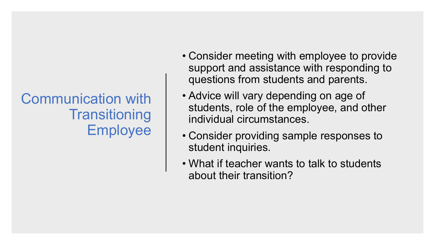Communication with **Transitioning** Employee

- Consider meeting with employee to provide support and assistance with responding to questions from students and parents.
- Advice will vary depending on age of students, role of the employee, and other individual circumstances.
- Consider providing sample responses to student inquiries.
- What if teacher wants to talk to students about their transition?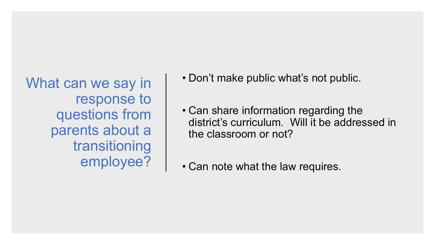What can we say in response to questions from parents about a transitioning employee?

- Don't make public what's not public.
- Can share information regarding the district's curriculum. Will it be addressed in the classroom or not?
- Can note what the law requires.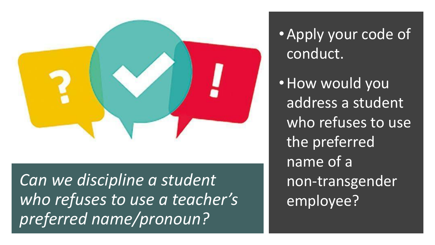

*Can we discipline a student who refuses to use a teacher's preferred name/pronoun?*

•Apply your code of conduct.

•How would you address a student who refuses to use the preferred name of a non-transgender employee?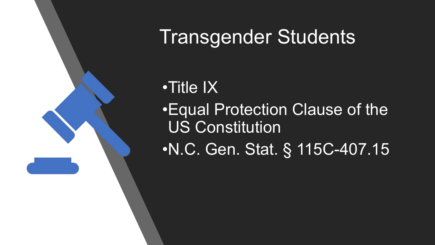

# Transgender Students

## •Title IX

•Equal Protection Clause of the US Constitution

•N.C. Gen. Stat. § 115C-407.15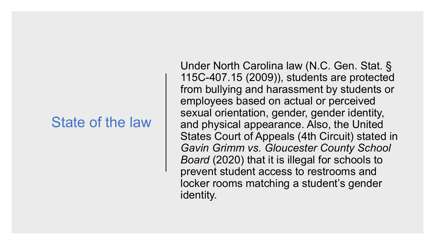### State of the law

Under North Carolina law (N.C. Gen. Stat. § 115C-407.15 (2009)), students are protected from bullying and harassment by students or employees based on actual or perceived sexual orientation, gender, gender identity, and physical appearance. Also, the United States Court of Appeals (4th Circuit) stated in *Gavin Grimm vs. Gloucester County School Board* (2020) that it is illegal for schools to prevent student access to restrooms and locker rooms matching a student's gender identity.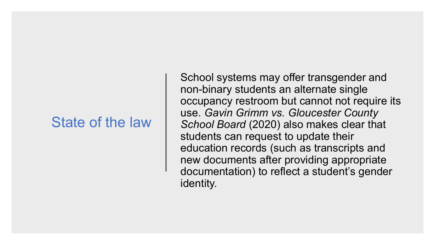### State of the law

School systems may offer transgender and non-binary students an alternate single occupancy restroom but cannot not require its use. *Gavin Grimm vs. Gloucester County School Board* (2020) also makes clear that students can request to update their education records (such as transcripts and new documents after providing appropriate documentation) to reflect a student's gender identity.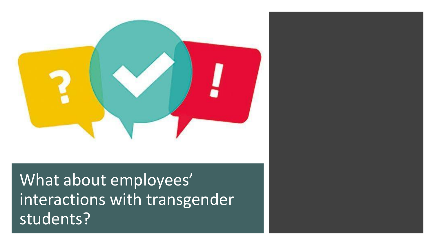

What about employees' interactions with transgender students?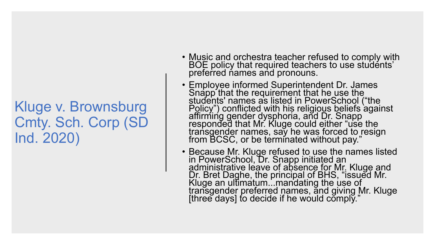- Music and orchestra teacher refused to comply with BOE policy that required teachers to use students' preferred names and pronouns.
- Employee informed Superintendent Dr. James Snapp that the requirement that he use the students' names as listed in PowerSchool ("the Policy") conflicted with his religious beliefs against affirming gender dysphoria, and Dr. Snapp responded that Mr. Kluge could either "use the transgender names, say he was forced to resign from BCSC, or be terminated without pay."
- Because Mr. Kluge refused to use the names listed in PowerSchool, Dr. Snapp initiated an administrative leave of absence for Mr. Kluge and Dr. Bret Daghe, the principal of BHS, "issued Mr. Kluge an ultimatum...mandating the use of transgender preferred names, and giving Mr. Kluge [three days] to decide if he would comply."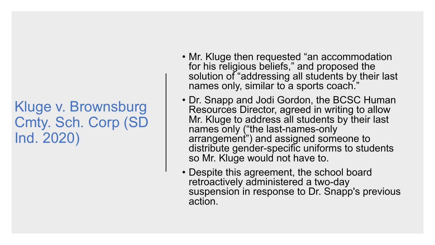- Mr. Kluge then requested "an accommodation for his religious beliefs," and proposed the solution of "addressing all students by their last names only, similar to a sports coach."
- Dr. Snapp and Jodi Gordon, the BCSC Human Resources Director, agreed in writing to allow Mr. Kluge to address all students by their last names only ("the last-names-only arrangement") and assigned someone to distribute gender-specific uniforms to students so Mr. Kluge would not have to.
- Despite this agreement, the school board retroactively administered a two-day suspension in response to Dr. Snapp's previous action.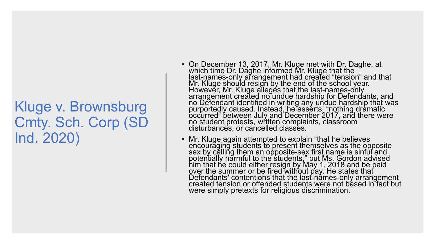- On December 13, 2017, Mr. Kluge met with Dr. Daghe, at which time Dr. Daghe informed Mr. Kluge that the last-names-only arrangement had created "tension" and that Mr. Kluge should resign by the end of the school year. However, Mr. Kluge alleges that the last-names-only arrangement created no undue hardship for Defendants, and no Defendant identified in writing any undue hardship that was purportedly caused. Instead, he asserts, "nothing dramatic occurred" between July and December 2017, and there were no student protests, written complaints, classroom disturbances, or cancelled classes.
- Mr. Kluge again attempted to explain "that he believes encouraging students to present themselves as the opposite sex by călling them an opposite-sex first name is sinful and potentially harmful to the students," but Ms. Gordon advised him that he could either resign by May 1, 2018 and be paid over the summer or be fired without pay. He states that Defendants' contentions that the last-names-only arrangement created tension or offended students were not based in fact but were simply pretexts for religious discrimination.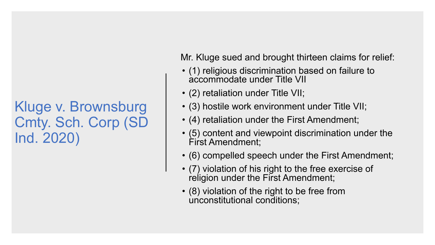Mr. Kluge sued and brought thirteen claims for relief:

- (1) religious discrimination based on failure to accommodate under Title VII
- (2) retaliation under Title VII;
- (3) hostile work environment under Title VII;
- (4) retaliation under the First Amendment;
- (5) content and viewpoint discrimination under the First Amendment;
- (6) compelled speech under the First Amendment;
- (7) violation of his right to the free exercise of religion under the First Amendment;
- (8) violation of the right to be free from unconstitutional conditions;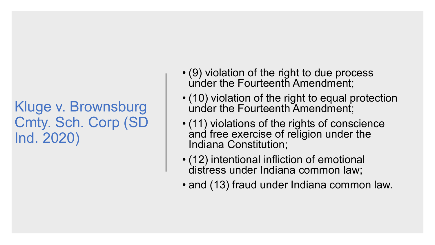- (9) violation of the right to due process under the Fourteenth Amendment;
- (10) violation of the right to equal protection under the Fourteenth Amendment;
- (11) violations of the rights of conscience and free exercise of religion under the Indiana Constitution;
- (12) intentional infliction of emotional distress under Indiana common law;
- and (13) fraud under Indiana common law.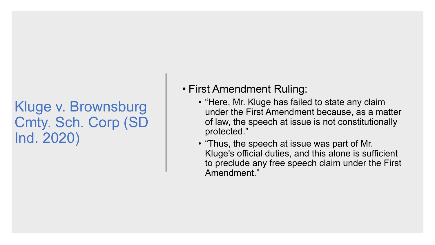#### • First Amendment Ruling:

- "Here, Mr. Kluge has failed to state any claim under the First Amendment because, as a matter of law, the speech at issue is not constitutionally protected."
- "Thus, the speech at issue was part of Mr. Kluge's official duties, and this alone is sufficient to preclude any free speech claim under the First Amendment."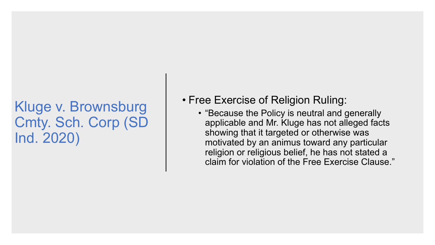- Free Exercise of Religion Ruling:
	- "Because the Policy is neutral and generally applicable and Mr. Kluge has not alleged facts showing that it targeted or otherwise was motivated by an animus toward any particular religion or religious belief, he has not stated a claim for violation of the Free Exercise Clause."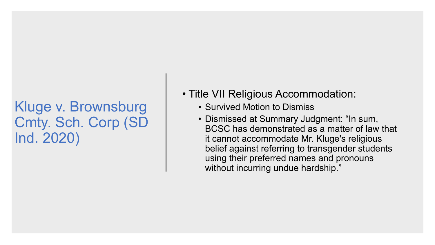- Title VII Religious Accommodation:
	- Survived Motion to Dismiss
	- Dismissed at Summary Judgment: "In sum, BCSC has demonstrated as a matter of law that it cannot accommodate Mr. Kluge's religious belief against referring to transgender students using their preferred names and pronouns without incurring undue hardship."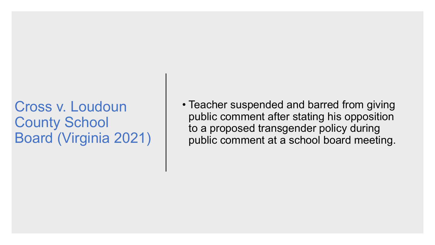Cross v. Loudoun County School Board (Virginia 2021) • Teacher suspended and barred from giving public comment after stating his opposition to a proposed transgender policy during public comment at a school board meeting.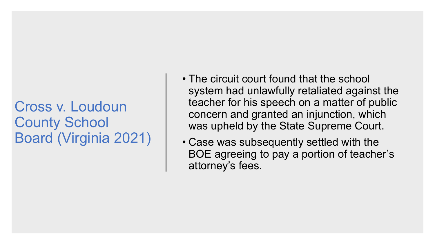### Cross v. Loudoun County School Board (Virginia 2021)

- The circuit court found that the school system had unlawfully retaliated against the teacher for his speech on a matter of public concern and granted an injunction, which was upheld by the State Supreme Court.
- Case was subsequently settled with the BOE agreeing to pay a portion of teacher's attorney's fees.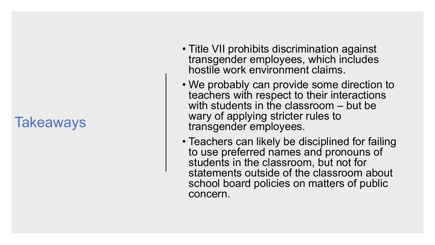### **Takeaways**

- Title VII prohibits discrimination against transgender employees, which includes hostile work environment claims.
- We probably can provide some direction to teachers with respect to their interactions with students in the classroom – but be wary of applying stricter rules to transgender employees.
- Teachers can likely be disciplined for failing to use preferred names and pronouns of students in the classroom, but not for statements outside of the classroom about school board policies on matters of public concern.